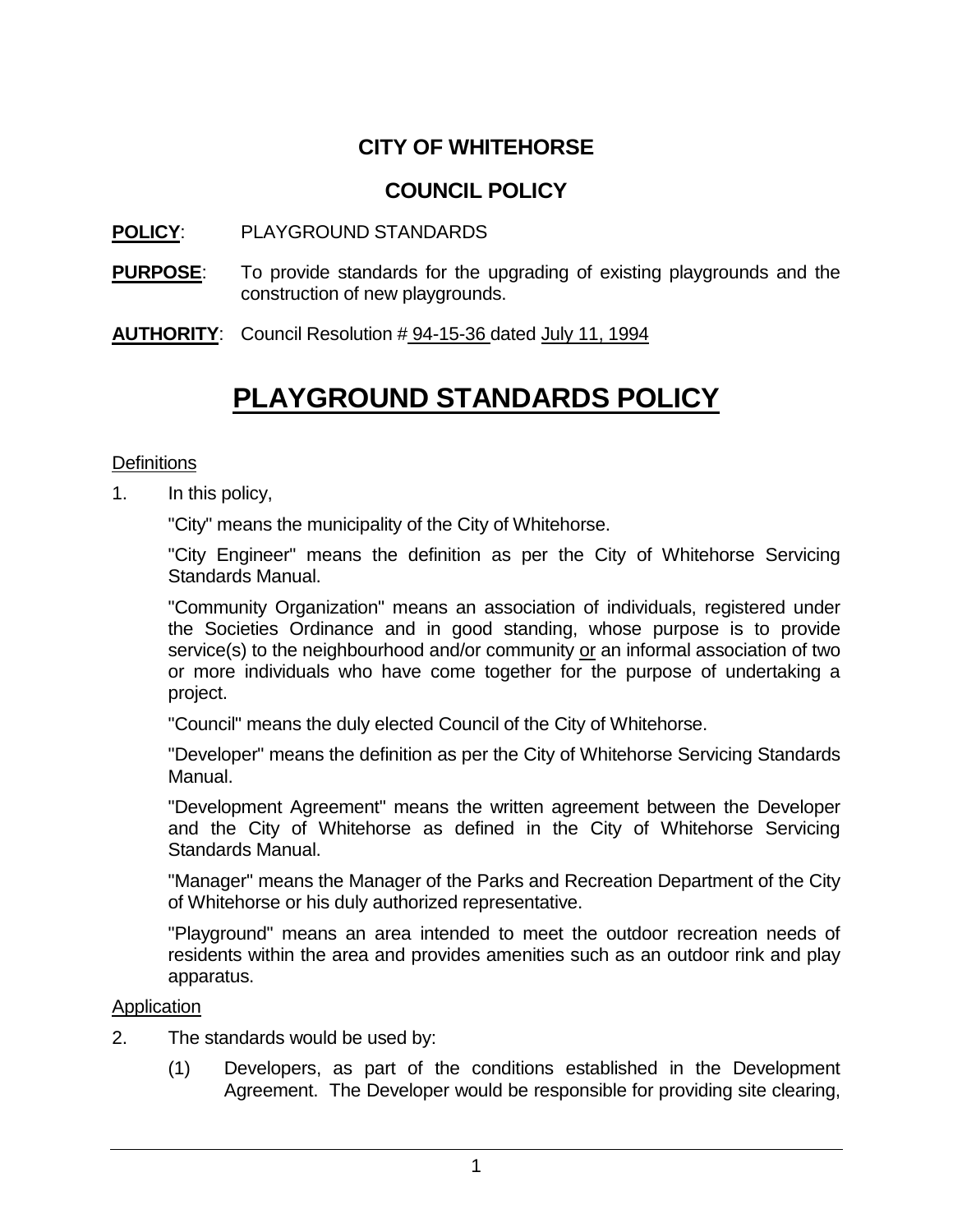# **CITY OF WHITEHORSE**

# **COUNCIL POLICY**

### **POLICY**: PLAYGROUND STANDARDS

- **PURPOSE**: To provide standards for the upgrading of existing playgrounds and the construction of new playgrounds.
- **AUTHORITY**: Council Resolution # 94-15-36 dated July 11, 1994

# **PLAYGROUND STANDARDS POLICY**

#### **Definitions**

1. In this policy,

"City" means the municipality of the City of Whitehorse.

"City Engineer" means the definition as per the City of Whitehorse Servicing Standards Manual.

"Community Organization" means an association of individuals, registered under the Societies Ordinance and in good standing, whose purpose is to provide service(s) to the neighbourhood and/or community or an informal association of two or more individuals who have come together for the purpose of undertaking a project.

"Council" means the duly elected Council of the City of Whitehorse.

"Developer" means the definition as per the City of Whitehorse Servicing Standards Manual.

"Development Agreement" means the written agreement between the Developer and the City of Whitehorse as defined in the City of Whitehorse Servicing Standards Manual.

"Manager" means the Manager of the Parks and Recreation Department of the City of Whitehorse or his duly authorized representative.

"Playground" means an area intended to meet the outdoor recreation needs of residents within the area and provides amenities such as an outdoor rink and play apparatus.

#### Application

- 2. The standards would be used by:
	- (1) Developers, as part of the conditions established in the Development Agreement. The Developer would be responsible for providing site clearing,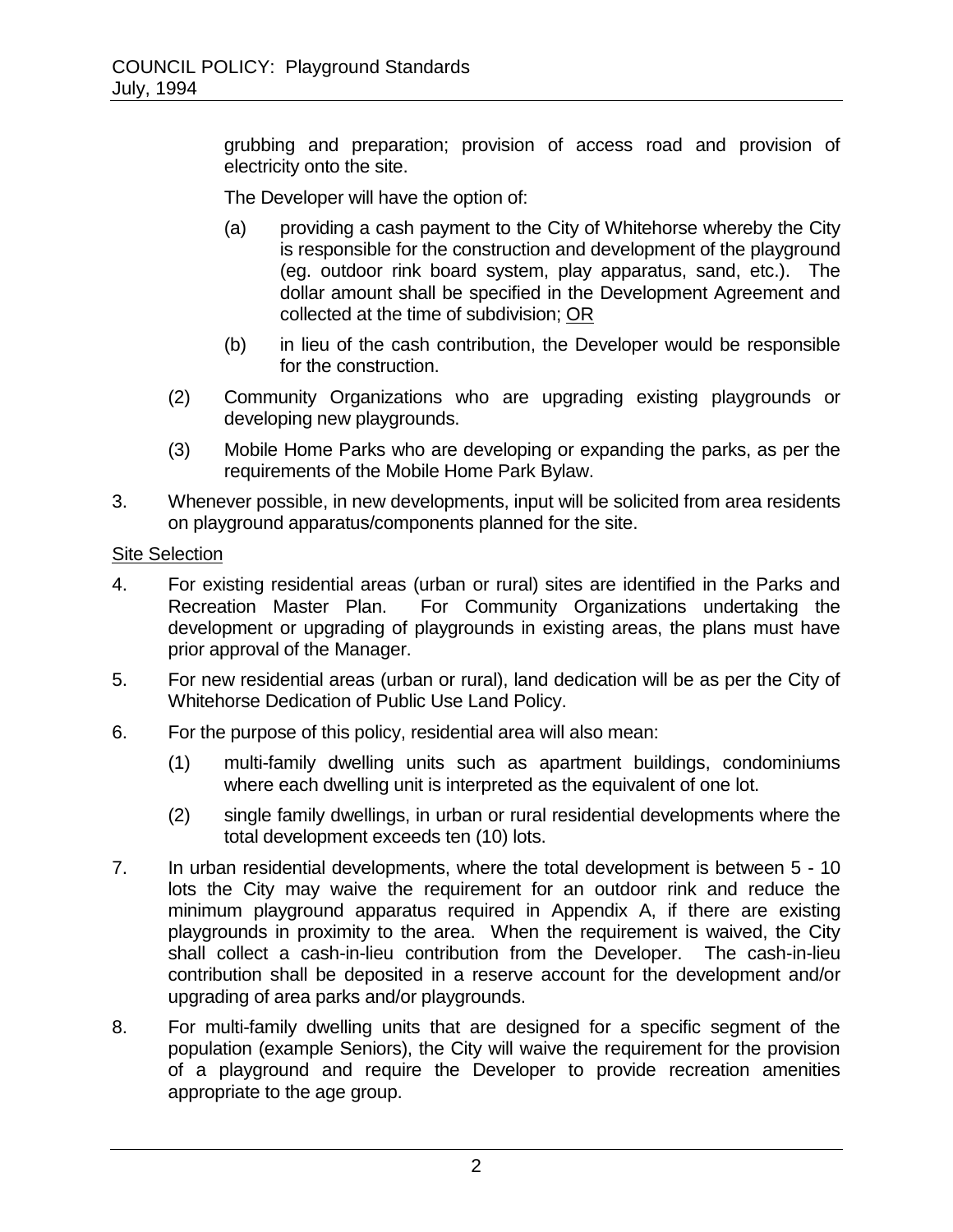grubbing and preparation; provision of access road and provision of electricity onto the site.

The Developer will have the option of:

- (a) providing a cash payment to the City of Whitehorse whereby the City is responsible for the construction and development of the playground (eg. outdoor rink board system, play apparatus, sand, etc.). The dollar amount shall be specified in the Development Agreement and collected at the time of subdivision; OR
- (b) in lieu of the cash contribution, the Developer would be responsible for the construction.
- (2) Community Organizations who are upgrading existing playgrounds or developing new playgrounds.
- (3) Mobile Home Parks who are developing or expanding the parks, as per the requirements of the Mobile Home Park Bylaw.
- 3. Whenever possible, in new developments, input will be solicited from area residents on playground apparatus/components planned for the site.

#### Site Selection

- 4. For existing residential areas (urban or rural) sites are identified in the Parks and Recreation Master Plan. For Community Organizations undertaking the development or upgrading of playgrounds in existing areas, the plans must have prior approval of the Manager.
- 5. For new residential areas (urban or rural), land dedication will be as per the City of Whitehorse Dedication of Public Use Land Policy.
- 6. For the purpose of this policy, residential area will also mean:
	- (1) multi-family dwelling units such as apartment buildings, condominiums where each dwelling unit is interpreted as the equivalent of one lot.
	- (2) single family dwellings, in urban or rural residential developments where the total development exceeds ten (10) lots.
- 7. In urban residential developments, where the total development is between 5 10 lots the City may waive the requirement for an outdoor rink and reduce the minimum playground apparatus required in Appendix A, if there are existing playgrounds in proximity to the area. When the requirement is waived, the City shall collect a cash-in-lieu contribution from the Developer. The cash-in-lieu contribution shall be deposited in a reserve account for the development and/or upgrading of area parks and/or playgrounds.
- 8. For multi-family dwelling units that are designed for a specific segment of the population (example Seniors), the City will waive the requirement for the provision of a playground and require the Developer to provide recreation amenities appropriate to the age group.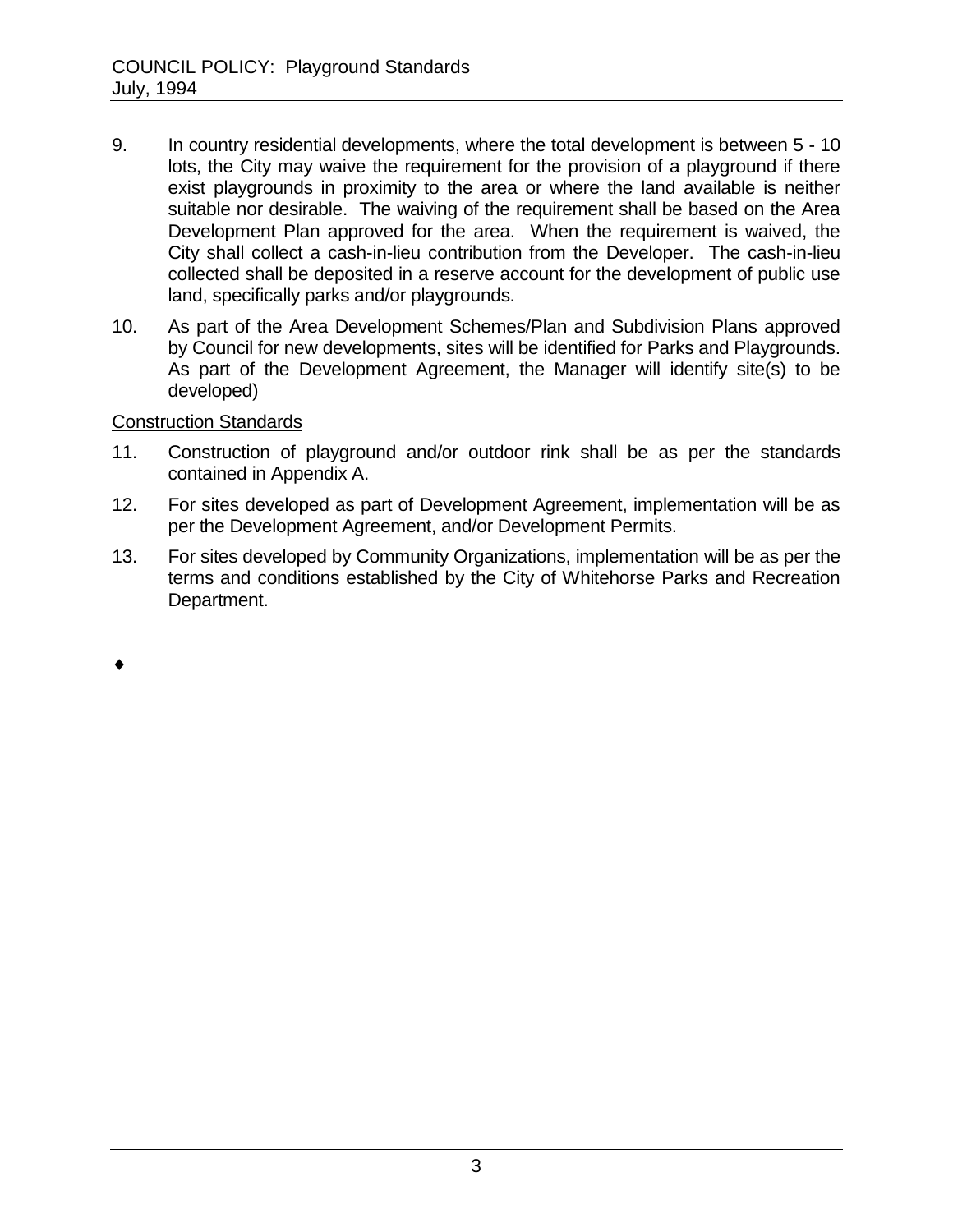- 9. In country residential developments, where the total development is between 5 10 lots, the City may waive the requirement for the provision of a playground if there exist playgrounds in proximity to the area or where the land available is neither suitable nor desirable. The waiving of the requirement shall be based on the Area Development Plan approved for the area. When the requirement is waived, the City shall collect a cash-in-lieu contribution from the Developer. The cash-in-lieu collected shall be deposited in a reserve account for the development of public use land, specifically parks and/or playgrounds.
- 10. As part of the Area Development Schemes/Plan and Subdivision Plans approved by Council for new developments, sites will be identified for Parks and Playgrounds. As part of the Development Agreement, the Manager will identify site(s) to be developed)

Construction Standards

- 11. Construction of playground and/or outdoor rink shall be as per the standards contained in Appendix A.
- 12. For sites developed as part of Development Agreement, implementation will be as per the Development Agreement, and/or Development Permits.
- 13. For sites developed by Community Organizations, implementation will be as per the terms and conditions established by the City of Whitehorse Parks and Recreation Department.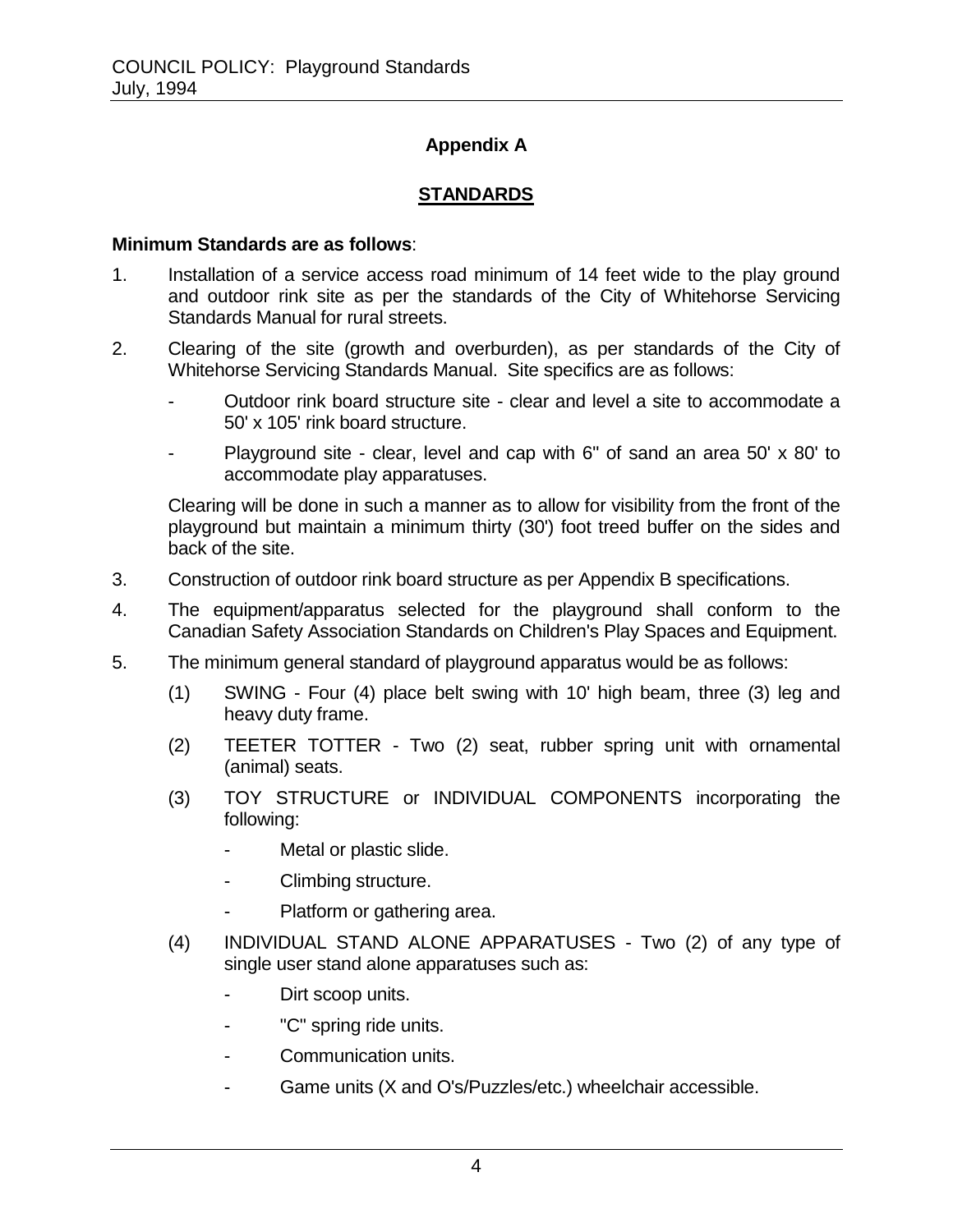## **Appendix A**

## **STANDARDS**

#### **Minimum Standards are as follows**:

- 1. Installation of a service access road minimum of 14 feet wide to the play ground and outdoor rink site as per the standards of the City of Whitehorse Servicing Standards Manual for rural streets.
- 2. Clearing of the site (growth and overburden), as per standards of the City of Whitehorse Servicing Standards Manual. Site specifics are as follows:
	- Outdoor rink board structure site clear and level a site to accommodate a 50' x 105' rink board structure.
	- Playground site clear, level and cap with 6" of sand an area 50' x 80' to accommodate play apparatuses.

Clearing will be done in such a manner as to allow for visibility from the front of the playground but maintain a minimum thirty (30') foot treed buffer on the sides and back of the site.

- 3. Construction of outdoor rink board structure as per Appendix B specifications.
- 4. The equipment/apparatus selected for the playground shall conform to the Canadian Safety Association Standards on Children's Play Spaces and Equipment.
- 5. The minimum general standard of playground apparatus would be as follows:
	- (1) SWING Four (4) place belt swing with 10' high beam, three (3) leg and heavy duty frame.
	- (2) TEETER TOTTER Two (2) seat, rubber spring unit with ornamental (animal) seats.
	- (3) TOY STRUCTURE or INDIVIDUAL COMPONENTS incorporating the following:
		- Metal or plastic slide.
		- Climbing structure.
		- Platform or gathering area.
	- (4) INDIVIDUAL STAND ALONE APPARATUSES Two (2) of any type of single user stand alone apparatuses such as:
		- Dirt scoop units.
		- "C" spring ride units.
		- Communication units.
		- Game units (X and O's/Puzzles/etc.) wheelchair accessible.